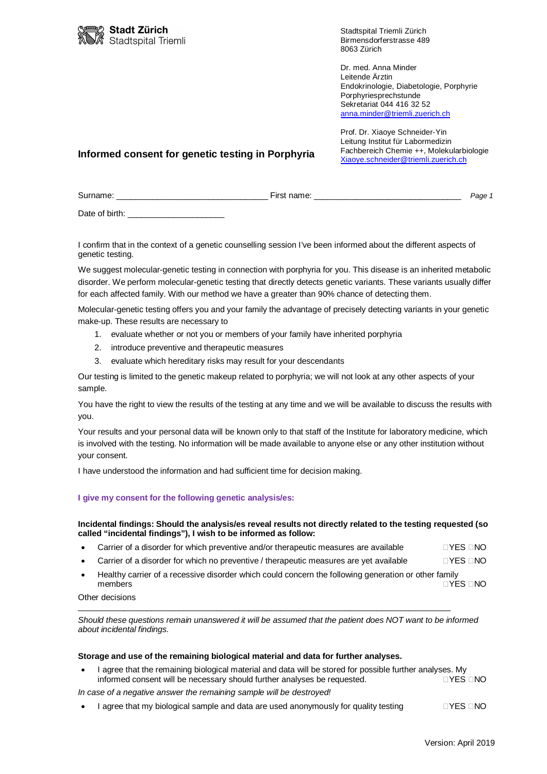

Stadtspital Triemli Zürich Birmensdorferstrasse 489 8063 Zürich

Dr. med. Anna Minder Leitende Ärztin Endokrinologie, Diabetologie, Porphyrie Porphyriesprechstunde Sekretariat 044 416 32 52 anna.minder@triemli.zuerich.ch

Prof. Dr. Xiaoye Schneider-Yin Leitung Institut für Labormedizin Fachbereich Chemie ++, Molekularbiologie Xiaoye.schneider@triemli.zuerich.ch

## **Informed consent for genetic testing in Porphyria**

Surname: \_\_\_\_\_\_\_\_\_\_\_\_\_\_\_\_\_\_\_\_\_\_\_\_\_\_\_\_\_\_\_\_\_ First name: \_\_\_\_\_\_\_\_\_\_\_\_\_\_\_\_\_\_\_\_\_\_\_\_\_\_\_\_\_\_\_\_ *Page 1*

Date of birth:

I confirm that in the context of a genetic counselling session I've been informed about the different aspects of genetic testing.

We suggest molecular-genetic testing in connection with porphyria for you. This disease is an inherited metabolic disorder. We perform molecular-genetic testing that directly detects genetic variants. These variants usually differ for each affected family. With our method we have a greater than 90% chance of detecting them.

Molecular-genetic testing offers you and your family the advantage of precisely detecting variants in your genetic make-up. These results are necessary to

- 1. evaluate whether or not you or members of your family have inherited porphyria
- 2. introduce preventive and therapeutic measures
- 3. evaluate which hereditary risks may result for your descendants

Our testing is limited to the genetic makeup related to porphyria; we will not look at any other aspects of your sample.

You have the right to view the results of the testing at any time and we will be available to discuss the results with you.

Your results and your personal data will be known only to that staff of the Institute for laboratory medicine, which is involved with the testing. No information will be made available to anyone else or any other institution without your consent.

I have understood the information and had sufficient time for decision making.

### **I give my consent for the following genetic analysis/es:**

### **Incidental findings: Should the analysis/es reveal results not directly related to the testing requested (so called "incidental findings"), I wish to be informed as follow:**

- Carrier of a disorder for which preventive and/or therapeutic measures are available  $\Box$  YES  $\Box$  NO
- Carrier of a disorder for which no preventive / therapeutic measures are yet available  $\Box$  YES  $\Box$  NO
- Healthy carrier of a recessive disorder which could concern the following generation or other family members  $\Box$  YES  $\Box$  NO

Other decisions \_\_\_\_\_\_\_\_\_\_\_\_\_\_\_\_\_\_\_\_\_\_\_\_\_\_\_\_\_\_\_\_\_\_\_\_\_\_\_\_\_\_\_\_\_\_\_\_\_\_\_\_\_\_\_\_\_\_\_\_\_\_\_\_\_\_\_\_\_\_\_\_\_\_\_\_\_\_\_\_\_

*Should these questions remain unanswered it will be assumed that the patient does NOT want to be informed about incidental findings.*

### **Storage and use of the remaining biological material and data for further analyses.**

I agree that the remaining biological material and data will be stored for possible further analyses. My informed consent will be necessary should further analyses be requested. informed consent will be necessary should further analyses be requested.

*In case of a negative answer the remaining sample will be destroyed!*

I agree that my biological sample and data are used anonymously for quality testing  $\Box$  YES  $\Box$  NO